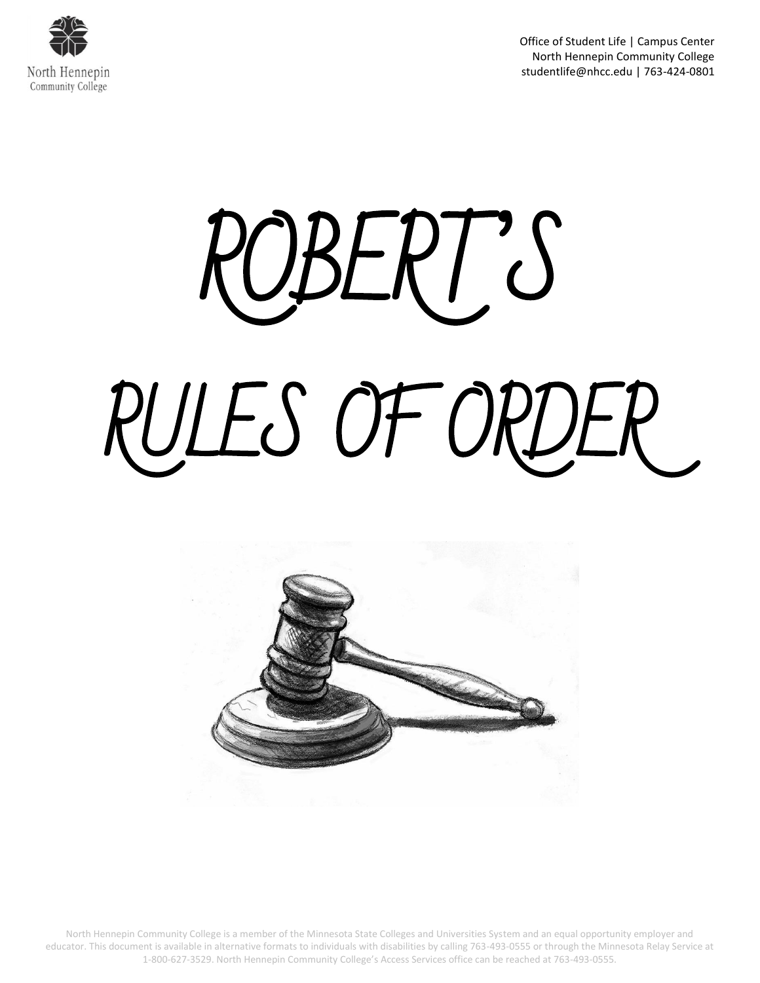

Office of Student Life | Campus Center North Hennepin Community College studentlife@nhcc.edu | 763-424-0801

# ROBERT'S RULES OF ORDER



North Hennepin Community College is a member of the Minnesota State Colleges and Universities System and an equal opportunity employer and educator. This document is available in alternative formats to individuals with disabilities by calling 763-493-0555 or through the Minnesota Relay Service at 1-800-627-3529. North Hennepin Community College's Access Services office can be reached at 763-493-0555.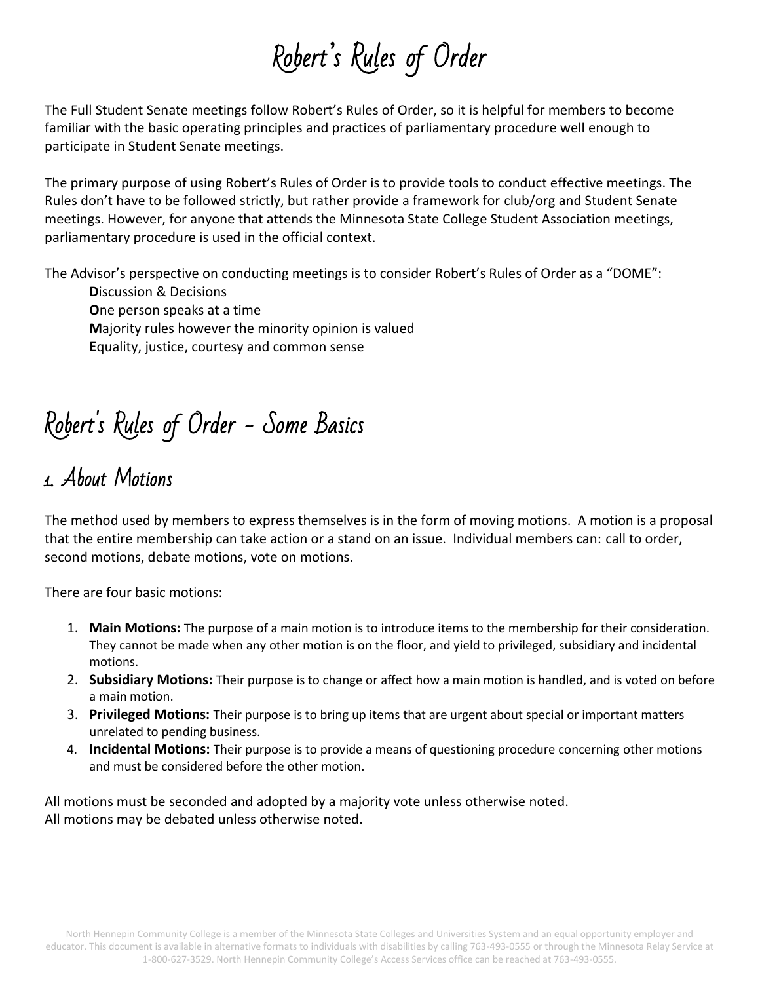# Robert's Rules of Order

The Full Student Senate meetings follow Robert's Rules of Order, so it is helpful for members to become familiar with the basic operating principles and practices of parliamentary procedure well enough to participate in Student Senate meetings.

The primary purpose of using Robert's Rules of Order is to provide tools to conduct effective meetings. The Rules don't have to be followed strictly, but rather provide a framework for club/org and Student Senate meetings. However, for anyone that attends the Minnesota State College Student Association meetings, parliamentary procedure is used in the official context.

The Advisor's perspective on conducting meetings is to consider Robert's Rules of Order as a "DOME":

**D**iscussion & Decisions **O**ne person speaks at a time **M**ajority rules however the minority opinion is valued **E**quality, justice, courtesy and common sense

# Robert's Rules of Order - Some Basics

## <u>1. About Motions</u>

The method used by members to express themselves is in the form of moving motions. A motion is a proposal that the entire membership can take action or a stand on an issue. Individual members can: call to order, second motions, debate motions, vote on motions.

There are four basic motions:

- 1. **Main Motions:** The purpose of a main motion is to introduce items to the membership for their consideration. They cannot be made when any other motion is on the floor, and yield to privileged, subsidiary and incidental motions.
- 2. **Subsidiary Motions:** Their purpose is to change or affect how a main motion is handled, and is voted on before a main motion.
- 3. **Privileged Motions:** Their purpose is to bring up items that are urgent about special or important matters unrelated to pending business.
- 4. **Incidental Motions:** Their purpose is to provide a means of questioning procedure concerning other motions and must be considered before the other motion.

All motions must be seconded and adopted by a majority vote unless otherwise noted. All motions may be debated unless otherwise noted.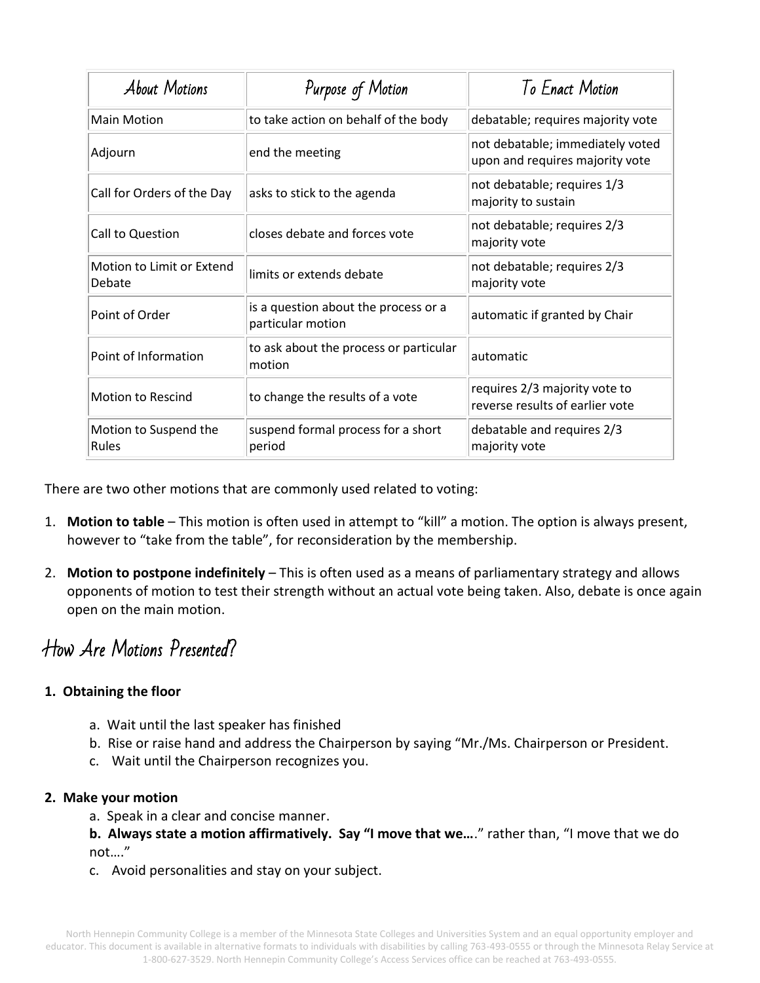| About Motions                       | Purpose of Motion                                         | To Enact Motion                                                     |
|-------------------------------------|-----------------------------------------------------------|---------------------------------------------------------------------|
| <b>Main Motion</b>                  | to take action on behalf of the body                      | debatable; requires majority vote                                   |
| Adjourn                             | end the meeting                                           | not debatable; immediately voted<br>upon and requires majority vote |
| Call for Orders of the Day          | asks to stick to the agenda                               | not debatable; requires 1/3<br>majority to sustain                  |
| Call to Question                    | closes debate and forces vote                             | not debatable; requires 2/3<br>majority vote                        |
| Motion to Limit or Extend<br>Debate | limits or extends debate                                  | not debatable; requires 2/3<br>majority vote                        |
| Point of Order                      | is a question about the process or a<br>particular motion | automatic if granted by Chair                                       |
| Point of Information                | to ask about the process or particular<br>motion          | automatic                                                           |
| <b>Motion to Rescind</b>            | to change the results of a vote                           | requires 2/3 majority vote to<br>reverse results of earlier vote    |
| Motion to Suspend the<br>Rules      | suspend formal process for a short<br>period              | debatable and requires 2/3<br>majority vote                         |

There are two other motions that are commonly used related to voting:

- 1. **Motion to table** This motion is often used in attempt to "kill" a motion. The option is always present, however to "take from the table", for reconsideration by the membership.
- 2. **Motion to postpone indefinitely** This is often used as a means of parliamentary strategy and allows opponents of motion to test their strength without an actual vote being taken. Also, debate is once again open on the main motion.

## How Are Motions Presented?

#### **1. Obtaining the floor**

- a. Wait until the last speaker has finished
- b. Rise or raise hand and address the Chairperson by saying "Mr./Ms. Chairperson or President.
- c. Wait until the Chairperson recognizes you.

#### **2. Make your motion**

a. Speak in a clear and concise manner.

**b. Always state a motion affirmatively. Say "I move that we…**." rather than, "I move that we do not…."

c. Avoid personalities and stay on your subject.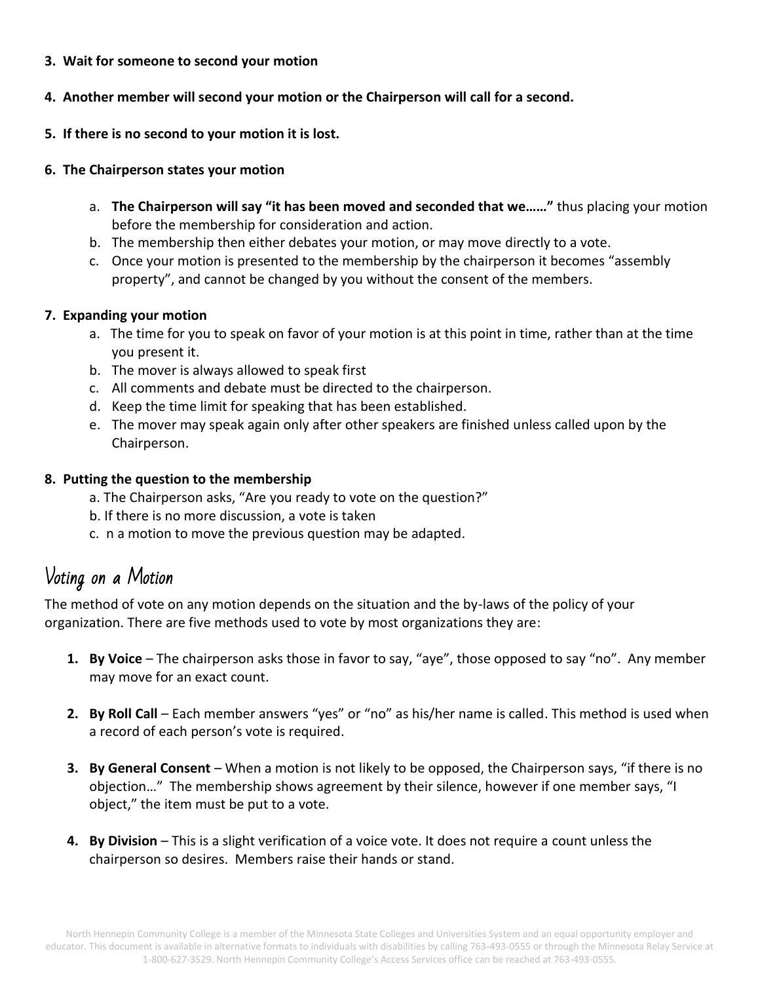#### **3. Wait for someone to second your motion**

#### **4. Another member will second your motion or the Chairperson will call for a second.**

**5. If there is no second to your motion it is lost.**

#### **6. The Chairperson states your motion**

- a. **The Chairperson will say "it has been moved and seconded that we……"** thus placing your motion before the membership for consideration and action.
- b. The membership then either debates your motion, or may move directly to a vote.
- c. Once your motion is presented to the membership by the chairperson it becomes "assembly property", and cannot be changed by you without the consent of the members.

#### **7. Expanding your motion**

- a. The time for you to speak on favor of your motion is at this point in time, rather than at the time you present it.
- b. The mover is always allowed to speak first
- c. All comments and debate must be directed to the chairperson.
- d. Keep the time limit for speaking that has been established.
- e. The mover may speak again only after other speakers are finished unless called upon by the Chairperson.

#### **8. Putting the question to the membership**

- a. The Chairperson asks, "Are you ready to vote on the question?"
- b. If there is no more discussion, a vote is taken
- c. n a motion to move the previous question may be adapted.

### Voting on a Motion

The method of vote on any motion depends on the situation and the by-laws of the policy of your organization. There are five methods used to vote by most organizations they are:

- **1. By Voice** The chairperson asks those in favor to say, "aye", those opposed to say "no". Any member may move for an exact count.
- **2. By Roll Call** Each member answers "yes" or "no" as his/her name is called. This method is used when a record of each person's vote is required.
- **3. By General Consent** When a motion is not likely to be opposed, the Chairperson says, "if there is no objection…" The membership shows agreement by their silence, however if one member says, "I object," the item must be put to a vote.
- **4. By Division** This is a slight verification of a voice vote. It does not require a count unless the chairperson so desires. Members raise their hands or stand.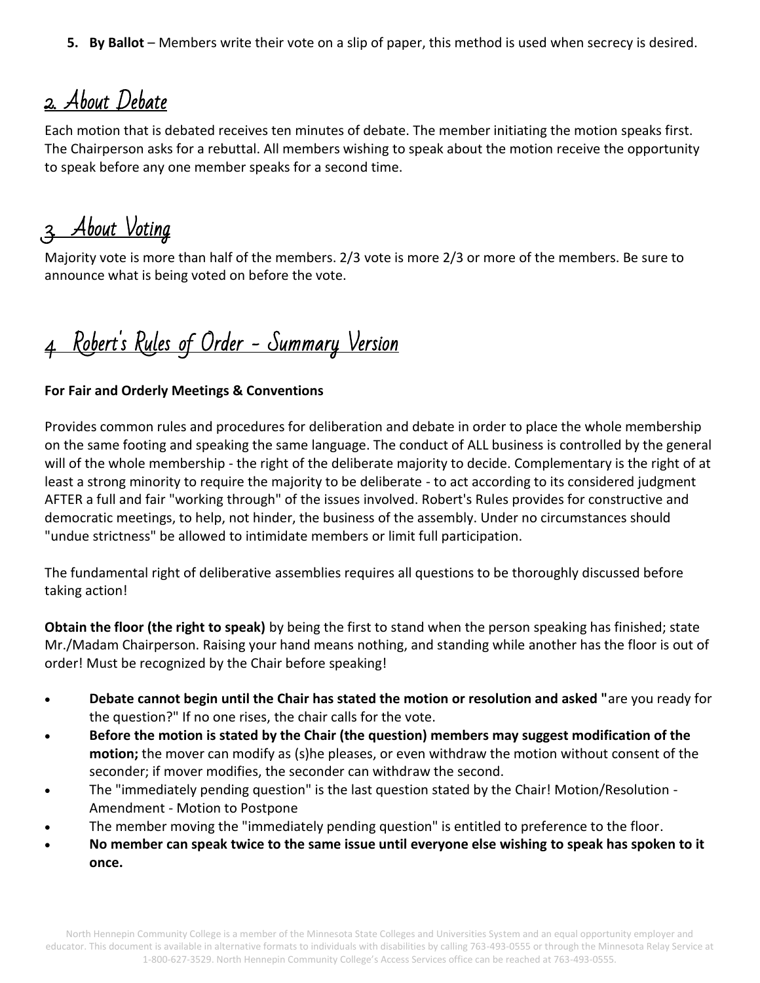**5. By Ballot** – Members write their vote on a slip of paper, this method is used when secrecy is desired.

## 2. About Debate

Each motion that is debated receives ten minutes of debate. The member initiating the motion speaks first. The Chairperson asks for a rebuttal. All members wishing to speak about the motion receive the opportunity to speak before any one member speaks for a second time.

3. About Voting

Majority vote is more than half of the members. 2/3 vote is more 2/3 or more of the members. Be sure to announce what is being voted on before the vote.

## 4. Robert's Rules of Order - Summary Version

#### **For Fair and Orderly Meetings & Conventions**

Provides common rules and procedures for deliberation and debate in order to place the whole membership on the same footing and speaking the same language. The conduct of ALL business is controlled by the general will of the whole membership - the right of the deliberate majority to decide. Complementary is the right of at least a strong minority to require the majority to be deliberate - to act according to its considered judgment AFTER a full and fair "working through" of the issues involved. Robert's Rules provides for constructive and democratic meetings, to help, not hinder, the business of the assembly. Under no circumstances should "undue strictness" be allowed to intimidate members or limit full participation.

The fundamental right of deliberative assemblies requires all questions to be thoroughly discussed before taking action!

**Obtain the floor (the right to speak)** by being the first to stand when the person speaking has finished; state Mr./Madam Chairperson. Raising your hand means nothing, and standing while another has the floor is out of order! Must be recognized by the Chair before speaking!

- **Debate cannot begin until the Chair has stated the motion or resolution and asked "**are you ready for the question?" If no one rises, the chair calls for the vote.
- **Before the motion is stated by the Chair (the question) members may suggest modification of the motion;** the mover can modify as (s)he pleases, or even withdraw the motion without consent of the seconder; if mover modifies, the seconder can withdraw the second.
- The "immediately pending question" is the last question stated by the Chair! Motion/Resolution Amendment - Motion to Postpone
- The member moving the "immediately pending question" is entitled to preference to the floor.
- **No member can speak twice to the same issue until everyone else wishing to speak has spoken to it once.**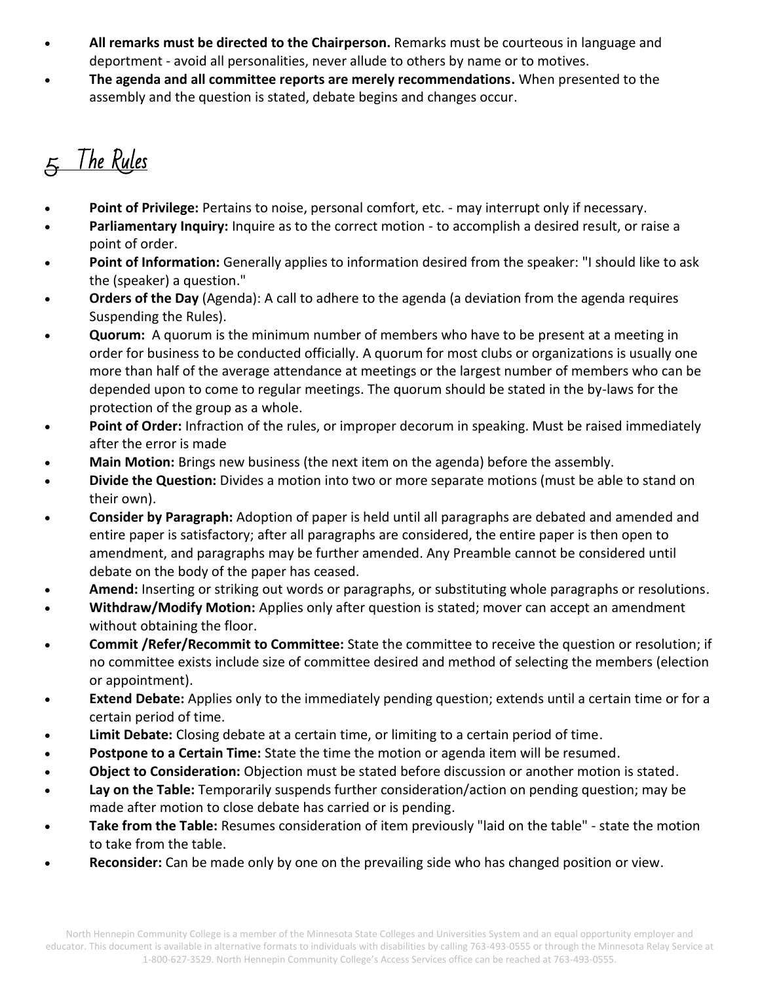- **All remarks must be directed to the Chairperson.** Remarks must be courteous in language and deportment - avoid all personalities, never allude to others by name or to motives.
- **The agenda and all committee reports are merely recommendations.** When presented to the assembly and the question is stated, debate begins and changes occur.

# 5. The Rules

- **Point of Privilege:** Pertains to noise, personal comfort, etc. may interrupt only if necessary.
- **Parliamentary Inquiry:** Inquire as to the correct motion to accomplish a desired result, or raise a point of order.
- **Point of Information:** Generally applies to information desired from the speaker: "I should like to ask the (speaker) a question."
- **Orders of the Day** (Agenda): A call to adhere to the agenda (a deviation from the agenda requires Suspending the Rules).
- **Quorum:** A quorum is the minimum number of members who have to be present at a meeting in order for business to be conducted officially. A quorum for most clubs or organizations is usually one more than half of the average attendance at meetings or the largest number of members who can be depended upon to come to regular meetings. The quorum should be stated in the by-laws for the protection of the group as a whole.
- **Point of Order:** Infraction of the rules, or improper decorum in speaking. Must be raised immediately after the error is made
- **Main Motion:** Brings new business (the next item on the agenda) before the assembly.
- **Divide the Question:** Divides a motion into two or more separate motions (must be able to stand on their own).
- **Consider by Paragraph:** Adoption of paper is held until all paragraphs are debated and amended and entire paper is satisfactory; after all paragraphs are considered, the entire paper is then open to amendment, and paragraphs may be further amended. Any Preamble cannot be considered until debate on the body of the paper has ceased.
- **Amend:** Inserting or striking out words or paragraphs, or substituting whole paragraphs or resolutions.
- **Withdraw/Modify Motion:** Applies only after question is stated; mover can accept an amendment without obtaining the floor.
- **Commit /Refer/Recommit to Committee:** State the committee to receive the question or resolution; if no committee exists include size of committee desired and method of selecting the members (election or appointment).
- **Extend Debate:** Applies only to the immediately pending question; extends until a certain time or for a certain period of time.
- **Limit Debate:** Closing debate at a certain time, or limiting to a certain period of time.
- **Postpone to a Certain Time:** State the time the motion or agenda item will be resumed.
- **Object to Consideration:** Objection must be stated before discussion or another motion is stated.
- **Lay on the Table:** Temporarily suspends further consideration/action on pending question; may be made after motion to close debate has carried or is pending.
- **Take from the Table:** Resumes consideration of item previously "laid on the table" state the motion to take from the table.
- **Reconsider:** Can be made only by one on the prevailing side who has changed position or view.